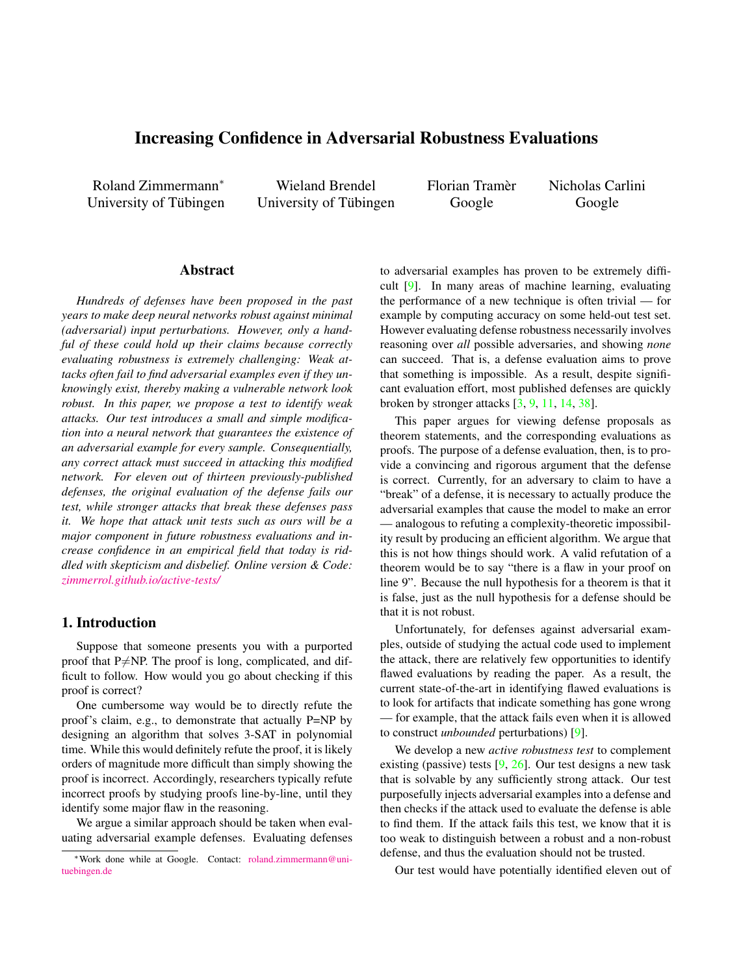# <span id="page-0-0"></span>Increasing Confidence in Adversarial Robustness Evaluations

Roland Zimmermann<sup>∗</sup> University of Tübingen

Wieland Brendel University of Tübingen Florian Tramer` Google

Nicholas Carlini Google

### Abstract

*Hundreds of defenses have been proposed in the past years to make deep neural networks robust against minimal (adversarial) input perturbations. However, only a handful of these could hold up their claims because correctly evaluating robustness is extremely challenging: Weak attacks often fail to find adversarial examples even if they unknowingly exist, thereby making a vulnerable network look robust. In this paper, we propose a test to identify weak attacks. Our test introduces a small and simple modification into a neural network that guarantees the existence of an adversarial example for every sample. Consequentially, any correct attack must succeed in attacking this modified network. For eleven out of thirteen previously-published defenses, the original evaluation of the defense fails our test, while stronger attacks that break these defenses pass it. We hope that attack unit tests such as ours will be a major component in future robustness evaluations and increase confidence in an empirical field that today is riddled with skepticism and disbelief. Online version & Code: [zimmerrol.github.io/active-tests/](https://zimmerrol.github.io/active-tests/)*

### 1. Introduction

Suppose that someone presents you with a purported proof that  $P\neq NP$ . The proof is long, complicated, and difficult to follow. How would you go about checking if this proof is correct?

One cumbersome way would be to directly refute the proof's claim, e.g., to demonstrate that actually P=NP by designing an algorithm that solves 3-SAT in polynomial time. While this would definitely refute the proof, it is likely orders of magnitude more difficult than simply showing the proof is incorrect. Accordingly, researchers typically refute incorrect proofs by studying proofs line-by-line, until they identify some major flaw in the reasoning.

We argue a similar approach should be taken when evaluating adversarial example defenses. Evaluating defenses to adversarial examples has proven to be extremely difficult [\[9\]](#page-6-0). In many areas of machine learning, evaluating the performance of a new technique is often trivial — for example by computing accuracy on some held-out test set. However evaluating defense robustness necessarily involves reasoning over *all* possible adversaries, and showing *none* can succeed. That is, a defense evaluation aims to prove that something is impossible. As a result, despite significant evaluation effort, most published defenses are quickly broken by stronger attacks [\[3,](#page-6-1) [9,](#page-6-0) [11,](#page-6-2) [14,](#page-6-3) [38\]](#page-7-0).

This paper argues for viewing defense proposals as theorem statements, and the corresponding evaluations as proofs. The purpose of a defense evaluation, then, is to provide a convincing and rigorous argument that the defense is correct. Currently, for an adversary to claim to have a "break" of a defense, it is necessary to actually produce the adversarial examples that cause the model to make an error — analogous to refuting a complexity-theoretic impossibility result by producing an efficient algorithm. We argue that this is not how things should work. A valid refutation of a theorem would be to say "there is a flaw in your proof on line 9". Because the null hypothesis for a theorem is that it is false, just as the null hypothesis for a defense should be that it is not robust.

Unfortunately, for defenses against adversarial examples, outside of studying the actual code used to implement the attack, there are relatively few opportunities to identify flawed evaluations by reading the paper. As a result, the current state-of-the-art in identifying flawed evaluations is to look for artifacts that indicate something has gone wrong — for example, that the attack fails even when it is allowed to construct *unbounded* perturbations) [\[9\]](#page-6-0).

We develop a new *active robustness test* to complement existing (passive) tests [\[9,](#page-6-0) [26\]](#page-7-1). Our test designs a new task that is solvable by any sufficiently strong attack. Our test purposefully injects adversarial examples into a defense and then checks if the attack used to evaluate the defense is able to find them. If the attack fails this test, we know that it is too weak to distinguish between a robust and a non-robust defense, and thus the evaluation should not be trusted.

Our test would have potentially identified eleven out of

<sup>∗</sup>Work done while at Google. Contact: [roland.zimmermann@uni](mailto:roland.zimmermann@uni-tuebingen.de)[tuebingen.de](mailto:roland.zimmermann@uni-tuebingen.de)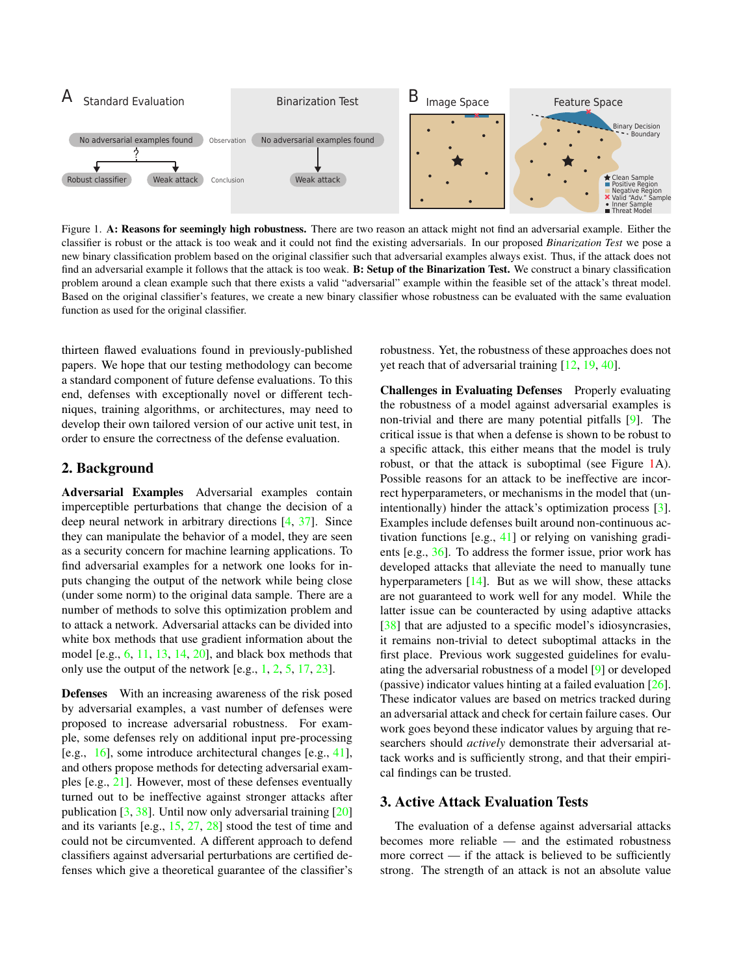<span id="page-1-1"></span><span id="page-1-0"></span>

Figure 1. A: Reasons for seemingly high robustness. There are two reason an attack might not find an adversarial example. Either the classifier is robust or the attack is too weak and it could not find the existing adversarials. In our proposed *Binarization Test* we pose a new binary classification problem based on the original classifier such that adversarial examples always exist. Thus, if the attack does not find an adversarial example it follows that the attack is too weak. B: Setup of the Binarization Test. We construct a binary classification problem around a clean example such that there exists a valid "adversarial" example within the feasible set of the attack's threat model. Based on the original classifier's features, we create a new binary classifier whose robustness can be evaluated with the same evaluation function as used for the original classifier.

thirteen flawed evaluations found in previously-published papers. We hope that our testing methodology can become a standard component of future defense evaluations. To this end, defenses with exceptionally novel or different techniques, training algorithms, or architectures, may need to develop their own tailored version of our active unit test, in order to ensure the correctness of the defense evaluation.

### 2. Background

Adversarial Examples Adversarial examples contain imperceptible perturbations that change the decision of a deep neural network in arbitrary directions [\[4,](#page-6-4) [37\]](#page-7-2). Since they can manipulate the behavior of a model, they are seen as a security concern for machine learning applications. To find adversarial examples for a network one looks for inputs changing the output of the network while being close (under some norm) to the original data sample. There are a number of methods to solve this optimization problem and to attack a network. Adversarial attacks can be divided into white box methods that use gradient information about the model [e.g.,  $6$ , [11,](#page-6-2) [13,](#page-6-6) [14,](#page-6-3) [20\]](#page-6-7), and black box methods that only use the output of the network [e.g., [1,](#page-6-8) [2,](#page-6-9) [5,](#page-6-10) [17,](#page-6-11) [23\]](#page-7-3).

Defenses With an increasing awareness of the risk posed by adversarial examples, a vast number of defenses were proposed to increase adversarial robustness. For example, some defenses rely on additional input pre-processing [e.g., [16\]](#page-6-12), some introduce architectural changes [e.g., [41\]](#page-7-4), and others propose methods for detecting adversarial examples [e.g., [21\]](#page-6-13). However, most of these defenses eventually turned out to be ineffective against stronger attacks after publication [\[3,](#page-6-1) [38\]](#page-7-0). Until now only adversarial training [\[20\]](#page-6-7) and its variants [e.g., [15,](#page-6-14) [27,](#page-7-5) [28\]](#page-7-6) stood the test of time and could not be circumvented. A different approach to defend classifiers against adversarial perturbations are certified defenses which give a theoretical guarantee of the classifier's robustness. Yet, the robustness of these approaches does not yet reach that of adversarial training [\[12,](#page-6-15) [19,](#page-6-16) [40\]](#page-7-7).

Challenges in Evaluating Defenses Properly evaluating the robustness of a model against adversarial examples is non-trivial and there are many potential pitfalls [\[9\]](#page-6-0). The critical issue is that when a defense is shown to be robust to a specific attack, this either means that the model is truly robust, or that the attack is suboptimal (see Figure [1A](#page-1-0)). Possible reasons for an attack to be ineffective are incorrect hyperparameters, or mechanisms in the model that (unintentionally) hinder the attack's optimization process [\[3\]](#page-6-1). Examples include defenses built around non-continuous activation functions [e.g., [41\]](#page-7-4) or relying on vanishing gradients [e.g., [36\]](#page-7-8). To address the former issue, prior work has developed attacks that alleviate the need to manually tune hyperparameters [\[14\]](#page-6-3). But as we will show, these attacks are not guaranteed to work well for any model. While the latter issue can be counteracted by using adaptive attacks [\[38\]](#page-7-0) that are adjusted to a specific model's idiosyncrasies, it remains non-trivial to detect suboptimal attacks in the first place. Previous work suggested guidelines for evaluating the adversarial robustness of a model [\[9\]](#page-6-0) or developed (passive) indicator values hinting at a failed evaluation [\[26\]](#page-7-1). These indicator values are based on metrics tracked during an adversarial attack and check for certain failure cases. Our work goes beyond these indicator values by arguing that researchers should *actively* demonstrate their adversarial attack works and is sufficiently strong, and that their empirical findings can be trusted.

### 3. Active Attack Evaluation Tests

The evaluation of a defense against adversarial attacks becomes more reliable — and the estimated robustness more correct  $\frac{d}{dt}$  if the attack is believed to be sufficiently strong. The strength of an attack is not an absolute value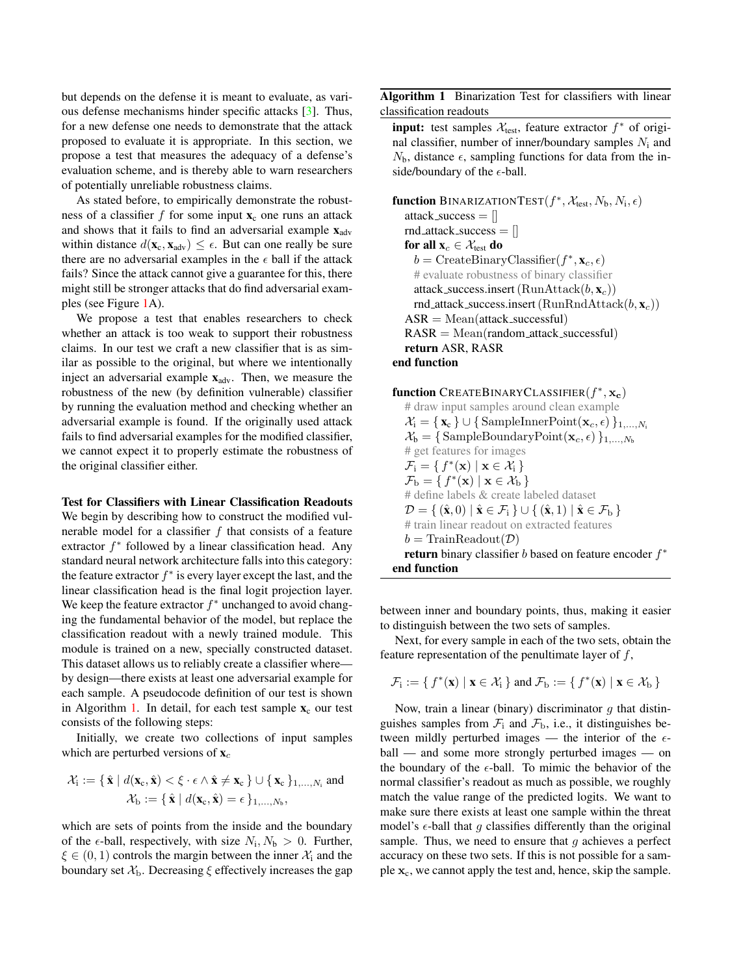<span id="page-2-1"></span>but depends on the defense it is meant to evaluate, as various defense mechanisms hinder specific attacks [\[3\]](#page-6-1). Thus, for a new defense one needs to demonstrate that the attack proposed to evaluate it is appropriate. In this section, we propose a test that measures the adequacy of a defense's evaluation scheme, and is thereby able to warn researchers of potentially unreliable robustness claims.

As stated before, to empirically demonstrate the robustness of a classifier f for some input  $\mathbf{x}_c$  one runs an attack and shows that it fails to find an adversarial example  $\mathbf{x}_{adv}$ within distance  $d(\mathbf{x}_c, \mathbf{x}_{adv}) \leq \epsilon$ . But can one really be sure there are no adversarial examples in the  $\epsilon$  ball if the attack fails? Since the attack cannot give a guarantee for this, there might still be stronger attacks that do find adversarial examples (see Figure [1A](#page-1-0)).

We propose a test that enables researchers to check whether an attack is too weak to support their robustness claims. In our test we craft a new classifier that is as similar as possible to the original, but where we intentionally inject an adversarial example  $x_{adv}$ . Then, we measure the robustness of the new (by definition vulnerable) classifier by running the evaluation method and checking whether an adversarial example is found. If the originally used attack fails to find adversarial examples for the modified classifier, we cannot expect it to properly estimate the robustness of the original classifier either.

<span id="page-2-2"></span>Test for Classifiers with Linear Classification Readouts We begin by describing how to construct the modified vulnerable model for a classifier  $f$  that consists of a feature extractor  $f^*$  followed by a linear classification head. Any standard neural network architecture falls into this category: the feature extractor  $f^*$  is every layer except the last, and the linear classification head is the final logit projection layer. We keep the feature extractor  $f^*$  unchanged to avoid changing the fundamental behavior of the model, but replace the classification readout with a newly trained module. This module is trained on a new, specially constructed dataset. This dataset allows us to reliably create a classifier where by design—there exists at least one adversarial example for each sample. A pseudocode definition of our test is shown in Algorithm [1.](#page-2-0) In detail, for each test sample  $x_c$  our test consists of the following steps:

Initially, we create two collections of input samples which are perturbed versions of  $x_c$ 

$$
\mathcal{X}_{i} := \{ \hat{\mathbf{x}} \mid d(\mathbf{x}_{c}, \hat{\mathbf{x}}) < \xi \cdot \epsilon \land \hat{\mathbf{x}} \neq \mathbf{x}_{c} \} \cup \{ \mathbf{x}_{c} \}_{1, \dots, N_{i}} \text{ and } \mathcal{X}_{b} := \{ \hat{\mathbf{x}} \mid d(\mathbf{x}_{c}, \hat{\mathbf{x}}) = \epsilon \}_{1, \dots, N_{b}},
$$

which are sets of points from the inside and the boundary of the  $\epsilon$ -ball, respectively, with size  $N_i$ ,  $N_b > 0$ . Further,  $\xi \in (0, 1)$  controls the margin between the inner  $\mathcal{X}_i$  and the boundary set  $\mathcal{X}_b$ . Decreasing  $\xi$  effectively increases the gap <span id="page-2-0"></span>Algorithm 1 Binarization Test for classifiers with linear classification readouts

**input:** test samples  $\mathcal{X}_{\text{test}}$ , feature extractor  $f^*$  of original classifier, number of inner/boundary samples  $N_i$  and  $N_{\rm b}$ , distance  $\epsilon$ , sampling functions for data from the inside/boundary of the  $\epsilon$ -ball.

function BINARIZATIONTEST $(f^*, X_{\text{test}}, N_{\text{b}}, N_{\text{i}}, \epsilon)$ attack\_success  $=$   $\parallel$  $rnd_attack_success = []$ for all  $\mathbf{x}_c \in \mathcal{X}_{\text{test}}$  do  $b = \text{CreateBinaryClassifier}(f^*, \mathbf{x}_c, \epsilon)$ # evaluate robustness of binary classifier attack\_success.insert  $(RunAttack(b, x_c))$ rnd\_attack\_success.insert(RunRndAttack( $b, \mathbf{x}_c$ ))  $ASR = Mean(atstack\_successful)$  $RASR = Mean(random_attack_successful)$ return ASR, RASR end function

function CREATEBINARYCLASSIFIER $(f^*,\mathbf{x_c})$ # draw input samples around clean example  $\mathcal{X}_i = \{ \mathbf{x}_c \} \cup \{ \text{SampleInnerPoint}(\mathbf{x}_c, \epsilon) \}_{1,...,N_i}$  $\mathcal{X}_{\mathbf{b}} = \{ \text{SampleBoundaryPoint}(\mathbf{x}_c, \epsilon) \}_{1,...,N_{\mathbf{b}}}$ # get features for images  $\mathcal{F}_i = \{ f^*(\mathbf{x}) \mid \mathbf{x} \in \mathcal{X}_i \}$  $\mathcal{F}_{\mathrm{b}} = \{ f^*(\mathbf{x}) \mid \mathbf{x} \in \mathcal{X}_{\mathrm{b}} \}$ # define labels & create labeled dataset  $\mathcal{D} = \{ (\hat{\mathbf{x}}, 0) | \hat{\mathbf{x}} \in \mathcal{F}_i \} \cup \{ (\hat{\mathbf{x}}, 1) | \hat{\mathbf{x}} \in \mathcal{F}_b \}$ # train linear readout on extracted features  $b = \text{TrainReadout}(\mathcal{D})$ return binary classifier  $b$  based on feature encoder  $f^*$ end function

between inner and boundary points, thus, making it easier to distinguish between the two sets of samples.

Next, for every sample in each of the two sets, obtain the feature representation of the penultimate layer of  $f$ ,

$$
\mathcal{F}_i := \{ f^*(\mathbf{x}) \mid \mathbf{x} \in \mathcal{X}_i \} \text{ and } \mathcal{F}_b := \{ f^*(\mathbf{x}) \mid \mathbf{x} \in \mathcal{X}_b \}
$$

Now, train a linear (binary) discriminator  $g$  that distinguishes samples from  $\mathcal{F}_i$  and  $\mathcal{F}_b$ , i.e., it distinguishes between mildly perturbed images — the interior of the  $\epsilon$ ball — and some more strongly perturbed images — on the boundary of the  $\epsilon$ -ball. To mimic the behavior of the normal classifier's readout as much as possible, we roughly match the value range of the predicted logits. We want to make sure there exists at least one sample within the threat model's  $\epsilon$ -ball that g classifies differently than the original sample. Thus, we need to ensure that  $q$  achieves a perfect accuracy on these two sets. If this is not possible for a sample  $x_c$ , we cannot apply the test and, hence, skip the sample.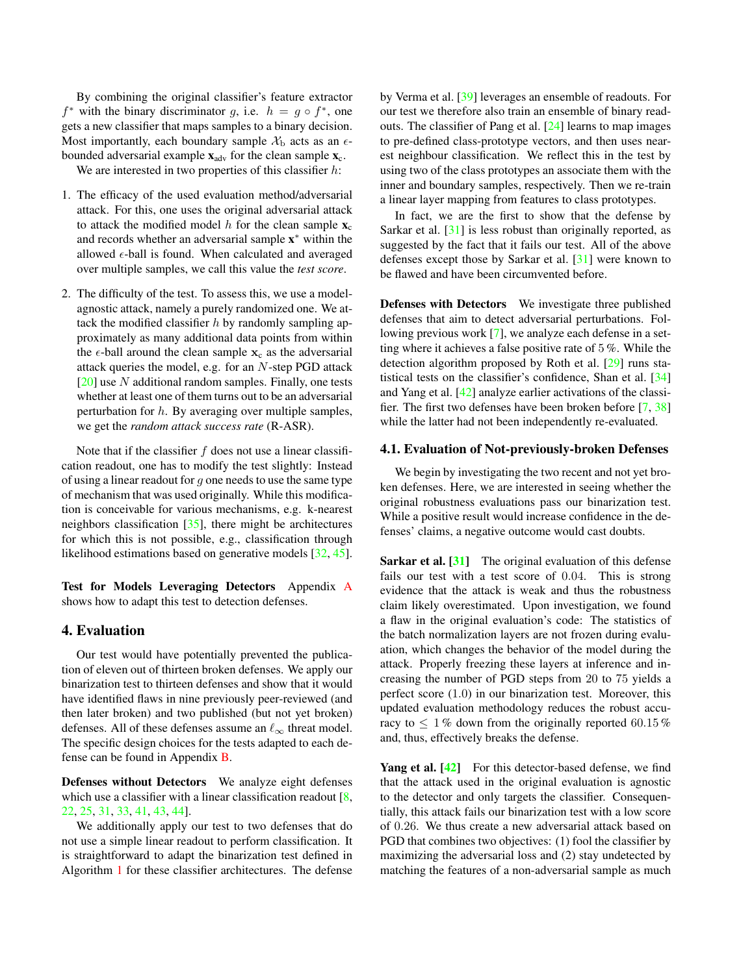<span id="page-3-0"></span>By combining the original classifier's feature extractor  $f^*$  with the binary discriminator g, i.e.  $h = g \circ f^*$ , one gets a new classifier that maps samples to a binary decision. Most importantly, each boundary sample  $\mathcal{X}_b$  acts as an  $\epsilon$ bounded adversarial example  $\mathbf{x}_{adv}$  for the clean sample  $\mathbf{x}_{c}$ .

We are interested in two properties of this classifier  $h$ :

- 1. The efficacy of the used evaluation method/adversarial attack. For this, one uses the original adversarial attack to attack the modified model h for the clean sample  $\mathbf{x}_c$ and records whether an adversarial sample x <sup>∗</sup> within the allowed  $\epsilon$ -ball is found. When calculated and averaged over multiple samples, we call this value the *test score*.
- 2. The difficulty of the test. To assess this, we use a modelagnostic attack, namely a purely randomized one. We attack the modified classifier  $h$  by randomly sampling approximately as many additional data points from within the  $\epsilon$ -ball around the clean sample  $x_c$  as the adversarial attack queries the model, e.g. for an  $N$ -step PGD attack  $[20]$  use N additional random samples. Finally, one tests whether at least one of them turns out to be an adversarial perturbation for  $h$ . By averaging over multiple samples, we get the *random attack success rate* (R-ASR).

Note that if the classifier  $f$  does not use a linear classification readout, one has to modify the test slightly: Instead of using a linear readout for  $g$  one needs to use the same type of mechanism that was used originally. While this modification is conceivable for various mechanisms, e.g. k-nearest neighbors classification [\[35\]](#page-7-9), there might be architectures for which this is not possible, e.g., classification through likelihood estimations based on generative models [\[32,](#page-7-10) [45\]](#page-8-0).

Test for Models Leveraging Detectors Appendix [A](#page-9-0) shows how to adapt this test to detection defenses.

### 4. Evaluation

Our test would have potentially prevented the publication of eleven out of thirteen broken defenses. We apply our binarization test to thirteen defenses and show that it would have identified flaws in nine previously peer-reviewed (and then later broken) and two published (but not yet broken) defenses. All of these defenses assume an  $\ell_{\infty}$  threat model. The specific design choices for the tests adapted to each defense can be found in Appendix [B.](#page-10-0)

Defenses without Detectors We analyze eight defenses which use a classifier with a linear classification readout [\[8,](#page-6-17) [22,](#page-7-11) [25,](#page-7-12) [31,](#page-7-13) [33,](#page-7-14) [41,](#page-7-4) [43,](#page-7-15) [44\]](#page-8-1).

We additionally apply our test to two defenses that do not use a simple linear readout to perform classification. It is straightforward to adapt the binarization test defined in Algorithm [1](#page-2-0) for these classifier architectures. The defense by Verma et al. [\[39\]](#page-7-16) leverages an ensemble of readouts. For our test we therefore also train an ensemble of binary readouts. The classifier of Pang et al. [\[24\]](#page-7-17) learns to map images to pre-defined class-prototype vectors, and then uses nearest neighbour classification. We reflect this in the test by using two of the class prototypes an associate them with the inner and boundary samples, respectively. Then we re-train a linear layer mapping from features to class prototypes.

In fact, we are the first to show that the defense by Sarkar et al. [\[31\]](#page-7-13) is less robust than originally reported, as suggested by the fact that it fails our test. All of the above defenses except those by Sarkar et al. [\[31\]](#page-7-13) were known to be flawed and have been circumvented before.

Defenses with Detectors We investigate three published defenses that aim to detect adversarial perturbations. Following previous work [\[7\]](#page-6-18), we analyze each defense in a setting where it achieves a false positive rate of 5 %. While the detection algorithm proposed by Roth et al. [\[29\]](#page-7-18) runs statistical tests on the classifier's confidence, Shan et al. [\[34\]](#page-7-19) and Yang et al. [\[42\]](#page-7-20) analyze earlier activations of the classifier. The first two defenses have been broken before [\[7,](#page-6-18) [38\]](#page-7-0) while the latter had not been independently re-evaluated.

#### 4.1. Evaluation of Not-previously-broken Defenses

We begin by investigating the two recent and not yet broken defenses. Here, we are interested in seeing whether the original robustness evaluations pass our binarization test. While a positive result would increase confidence in the defenses' claims, a negative outcome would cast doubts.

Sarkar et al. [\[31\]](#page-7-13) The original evaluation of this defense fails our test with a test score of 0.04. This is strong evidence that the attack is weak and thus the robustness claim likely overestimated. Upon investigation, we found a flaw in the original evaluation's code: The statistics of the batch normalization layers are not frozen during evaluation, which changes the behavior of the model during the attack. Properly freezing these layers at inference and increasing the number of PGD steps from 20 to 75 yields a perfect score (1.0) in our binarization test. Moreover, this updated evaluation methodology reduces the robust accuracy to  $\leq 1\%$  down from the originally reported 60.15% and, thus, effectively breaks the defense.

Yang et al. [\[42\]](#page-7-20) For this detector-based defense, we find that the attack used in the original evaluation is agnostic to the detector and only targets the classifier. Consequentially, this attack fails our binarization test with a low score of 0.26. We thus create a new adversarial attack based on PGD that combines two objectives: (1) fool the classifier by maximizing the adversarial loss and (2) stay undetected by matching the features of a non-adversarial sample as much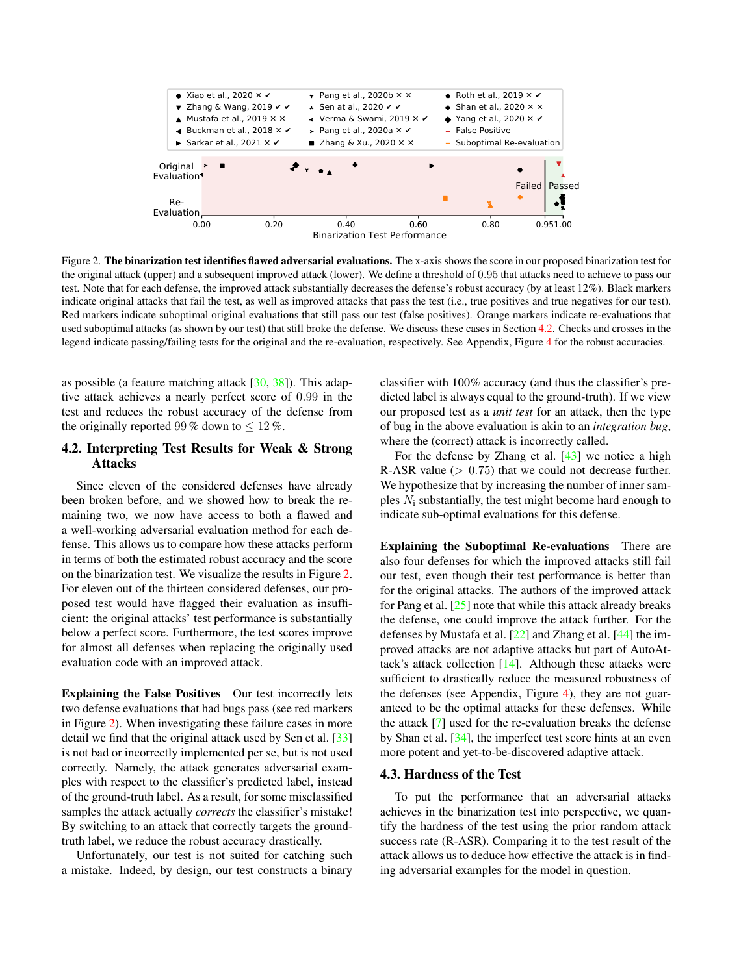<span id="page-4-2"></span><span id="page-4-1"></span>

Figure 2. The binarization test identifies flawed adversarial evaluations. The x-axis shows the score in our proposed binarization test for the original attack (upper) and a subsequent improved attack (lower). We define a threshold of 0.95 that attacks need to achieve to pass our test. Note that for each defense, the improved attack substantially decreases the defense's robust accuracy (by at least 12%). Black markers indicate original attacks that fail the test, as well as improved attacks that pass the test (i.e., true positives and true negatives for our test). Red markers indicate suboptimal original evaluations that still pass our test (false positives). Orange markers indicate re-evaluations that used suboptimal attacks (as shown by our test) that still broke the defense. We discuss these cases in Section [4.2.](#page-4-0) Checks and crosses in the legend indicate passing/failing tests for the original and the re-evaluation, respectively. See Appendix, Figure [4](#page-11-0) for the robust accuracies.

as possible (a feature matching attack  $[30, 38]$  $[30, 38]$  $[30, 38]$ ). This adaptive attack achieves a nearly perfect score of 0.99 in the test and reduces the robust accuracy of the defense from the originally reported 99 % down to  $\leq 12\%$ .

### <span id="page-4-0"></span>4.2. Interpreting Test Results for Weak & Strong Attacks

Since eleven of the considered defenses have already been broken before, and we showed how to break the remaining two, we now have access to both a flawed and a well-working adversarial evaluation method for each defense. This allows us to compare how these attacks perform in terms of both the estimated robust accuracy and the score on the binarization test. We visualize the results in Figure [2.](#page-4-1) For eleven out of the thirteen considered defenses, our proposed test would have flagged their evaluation as insufficient: the original attacks' test performance is substantially below a perfect score. Furthermore, the test scores improve for almost all defenses when replacing the originally used evaluation code with an improved attack.

Explaining the False Positives Our test incorrectly lets two defense evaluations that had bugs pass (see red markers in Figure [2\)](#page-4-1). When investigating these failure cases in more detail we find that the original attack used by Sen et al. [\[33\]](#page-7-14) is not bad or incorrectly implemented per se, but is not used correctly. Namely, the attack generates adversarial examples with respect to the classifier's predicted label, instead of the ground-truth label. As a result, for some misclassified samples the attack actually *corrects* the classifier's mistake! By switching to an attack that correctly targets the groundtruth label, we reduce the robust accuracy drastically.

Unfortunately, our test is not suited for catching such a mistake. Indeed, by design, our test constructs a binary

classifier with 100% accuracy (and thus the classifier's predicted label is always equal to the ground-truth). If we view our proposed test as a *unit test* for an attack, then the type of bug in the above evaluation is akin to an *integration bug*, where the (correct) attack is incorrectly called.

For the defense by Zhang et al.  $[43]$  we notice a high R-ASR value  $(> 0.75)$  that we could not decrease further. We hypothesize that by increasing the number of inner samples  $N_i$  substantially, the test might become hard enough to indicate sub-optimal evaluations for this defense.

Explaining the Suboptimal Re-evaluations There are also four defenses for which the improved attacks still fail our test, even though their test performance is better than for the original attacks. The authors of the improved attack for Pang et al.  $[25]$  note that while this attack already breaks the defense, one could improve the attack further. For the defenses by Mustafa et al.  $[22]$  and Zhang et al.  $[44]$  the improved attacks are not adaptive attacks but part of AutoAttack's attack collection [\[14\]](#page-6-3). Although these attacks were sufficient to drastically reduce the measured robustness of the defenses (see Appendix, Figure [4\)](#page-11-0), they are not guaranteed to be the optimal attacks for these defenses. While the attack [\[7\]](#page-6-18) used for the re-evaluation breaks the defense by Shan et al. [\[34\]](#page-7-19), the imperfect test score hints at an even more potent and yet-to-be-discovered adaptive attack.

#### <span id="page-4-3"></span>4.3. Hardness of the Test

To put the performance that an adversarial attacks achieves in the binarization test into perspective, we quantify the hardness of the test using the prior random attack success rate (R-ASR). Comparing it to the test result of the attack allows us to deduce how effective the attack is in finding adversarial examples for the model in question.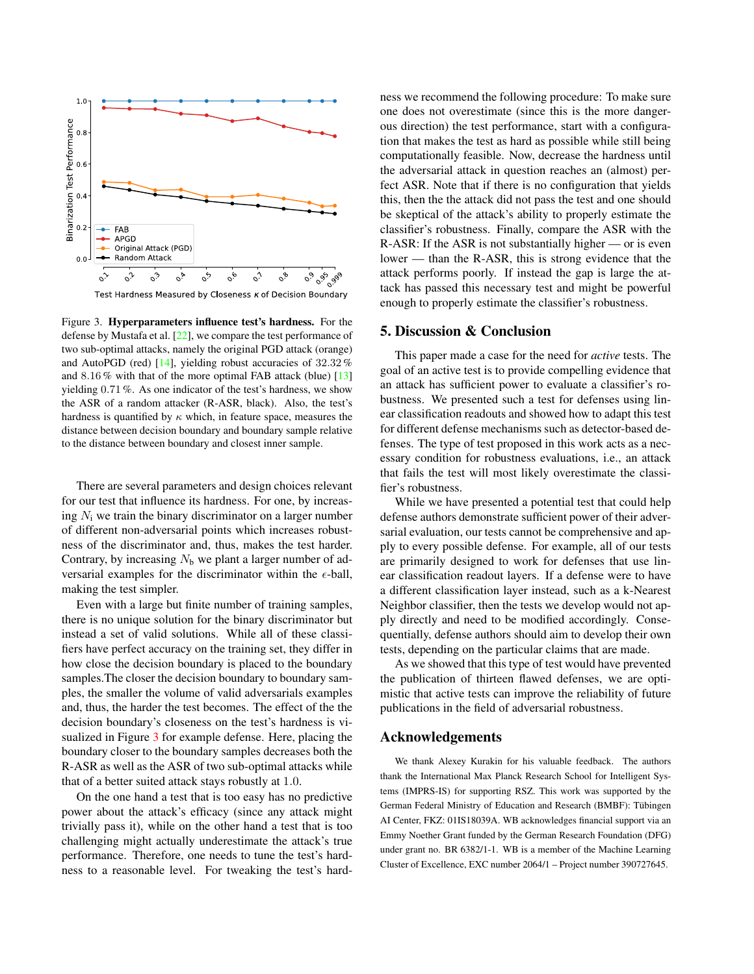<span id="page-5-1"></span><span id="page-5-0"></span>

Test Hardness Measured by Closeness  $\kappa$  of Decision Boundary

Figure 3. Hyperparameters influence test's hardness. For the defense by Mustafa et al. [\[22\]](#page-7-11), we compare the test performance of two sub-optimal attacks, namely the original PGD attack (orange) and AutoPGD (red)  $[14]$ , yielding robust accuracies of 32.32% and 8.16 % with that of the more optimal FAB attack (blue) [\[13\]](#page-6-6) yielding 0.71 %. As one indicator of the test's hardness, we show the ASR of a random attacker (R-ASR, black). Also, the test's hardness is quantified by  $\kappa$  which, in feature space, measures the distance between decision boundary and boundary sample relative to the distance between boundary and closest inner sample.

There are several parameters and design choices relevant for our test that influence its hardness. For one, by increasing  $N_i$  we train the binary discriminator on a larger number of different non-adversarial points which increases robustness of the discriminator and, thus, makes the test harder. Contrary, by increasing  $N<sub>b</sub>$  we plant a larger number of adversarial examples for the discriminator within the  $\epsilon$ -ball, making the test simpler.

Even with a large but finite number of training samples, there is no unique solution for the binary discriminator but instead a set of valid solutions. While all of these classifiers have perfect accuracy on the training set, they differ in how close the decision boundary is placed to the boundary samples.The closer the decision boundary to boundary samples, the smaller the volume of valid adversarials examples and, thus, the harder the test becomes. The effect of the the decision boundary's closeness on the test's hardness is visualized in Figure [3](#page-5-0) for example defense. Here, placing the boundary closer to the boundary samples decreases both the R-ASR as well as the ASR of two sub-optimal attacks while that of a better suited attack stays robustly at 1.0.

On the one hand a test that is too easy has no predictive power about the attack's efficacy (since any attack might trivially pass it), while on the other hand a test that is too challenging might actually underestimate the attack's true performance. Therefore, one needs to tune the test's hardness to a reasonable level. For tweaking the test's hardness we recommend the following procedure: To make sure one does not overestimate (since this is the more dangerous direction) the test performance, start with a configuration that makes the test as hard as possible while still being computationally feasible. Now, decrease the hardness until the adversarial attack in question reaches an (almost) perfect ASR. Note that if there is no configuration that yields this, then the the attack did not pass the test and one should be skeptical of the attack's ability to properly estimate the classifier's robustness. Finally, compare the ASR with the R-ASR: If the ASR is not substantially higher — or is even lower — than the R-ASR, this is strong evidence that the attack performs poorly. If instead the gap is large the attack has passed this necessary test and might be powerful enough to properly estimate the classifier's robustness.

### 5. Discussion & Conclusion

This paper made a case for the need for *active* tests. The goal of an active test is to provide compelling evidence that an attack has sufficient power to evaluate a classifier's robustness. We presented such a test for defenses using linear classification readouts and showed how to adapt this test for different defense mechanisms such as detector-based defenses. The type of test proposed in this work acts as a necessary condition for robustness evaluations, i.e., an attack that fails the test will most likely overestimate the classifier's robustness.

While we have presented a potential test that could help defense authors demonstrate sufficient power of their adversarial evaluation, our tests cannot be comprehensive and apply to every possible defense. For example, all of our tests are primarily designed to work for defenses that use linear classification readout layers. If a defense were to have a different classification layer instead, such as a k-Nearest Neighbor classifier, then the tests we develop would not apply directly and need to be modified accordingly. Consequentially, defense authors should aim to develop their own tests, depending on the particular claims that are made.

As we showed that this type of test would have prevented the publication of thirteen flawed defenses, we are optimistic that active tests can improve the reliability of future publications in the field of adversarial robustness.

### Acknowledgements

We thank Alexey Kurakin for his valuable feedback. The authors thank the International Max Planck Research School for Intelligent Systems (IMPRS-IS) for supporting RSZ. This work was supported by the German Federal Ministry of Education and Research (BMBF): Tübingen AI Center, FKZ: 01IS18039A. WB acknowledges financial support via an Emmy Noether Grant funded by the German Research Foundation (DFG) under grant no. BR 6382/1-1. WB is a member of the Machine Learning Cluster of Excellence, EXC number 2064/1 – Project number 390727645.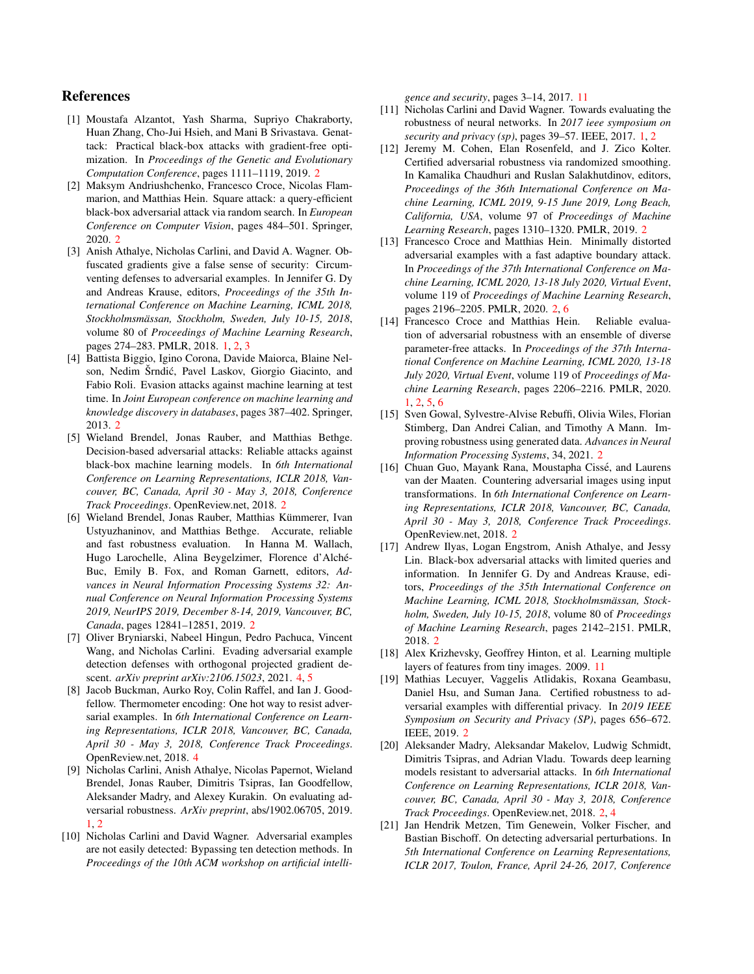### References

- <span id="page-6-8"></span>[1] Moustafa Alzantot, Yash Sharma, Supriyo Chakraborty, Huan Zhang, Cho-Jui Hsieh, and Mani B Srivastava. Genattack: Practical black-box attacks with gradient-free optimization. In *Proceedings of the Genetic and Evolutionary Computation Conference*, pages 1111–1119, 2019. [2](#page-1-1)
- <span id="page-6-9"></span>[2] Maksym Andriushchenko, Francesco Croce, Nicolas Flammarion, and Matthias Hein. Square attack: a query-efficient black-box adversarial attack via random search. In *European Conference on Computer Vision*, pages 484–501. Springer, 2020. [2](#page-1-1)
- <span id="page-6-1"></span>[3] Anish Athalye, Nicholas Carlini, and David A. Wagner. Obfuscated gradients give a false sense of security: Circumventing defenses to adversarial examples. In Jennifer G. Dy and Andreas Krause, editors, *Proceedings of the 35th International Conference on Machine Learning, ICML 2018, Stockholmsmassan, Stockholm, Sweden, July 10-15, 2018 ¨* , volume 80 of *Proceedings of Machine Learning Research*, pages 274–283. PMLR, 2018. [1,](#page-0-0) [2,](#page-1-1) [3](#page-2-1)
- <span id="page-6-4"></span>[4] Battista Biggio, Igino Corona, Davide Maiorca, Blaine Nelson, Nedim Šrndić, Pavel Laskov, Giorgio Giacinto, and Fabio Roli. Evasion attacks against machine learning at test time. In *Joint European conference on machine learning and knowledge discovery in databases*, pages 387–402. Springer, 2013. [2](#page-1-1)
- <span id="page-6-10"></span>[5] Wieland Brendel, Jonas Rauber, and Matthias Bethge. Decision-based adversarial attacks: Reliable attacks against black-box machine learning models. In *6th International Conference on Learning Representations, ICLR 2018, Vancouver, BC, Canada, April 30 - May 3, 2018, Conference Track Proceedings*. OpenReview.net, 2018. [2](#page-1-1)
- <span id="page-6-5"></span>[6] Wieland Brendel, Jonas Rauber, Matthias Kümmerer, Ivan Ustyuzhaninov, and Matthias Bethge. Accurate, reliable and fast robustness evaluation. In Hanna M. Wallach, Hugo Larochelle, Alina Beygelzimer, Florence d'Alché-Buc, Emily B. Fox, and Roman Garnett, editors, *Advances in Neural Information Processing Systems 32: Annual Conference on Neural Information Processing Systems 2019, NeurIPS 2019, December 8-14, 2019, Vancouver, BC, Canada*, pages 12841–12851, 2019. [2](#page-1-1)
- <span id="page-6-18"></span>[7] Oliver Bryniarski, Nabeel Hingun, Pedro Pachuca, Vincent Wang, and Nicholas Carlini. Evading adversarial example detection defenses with orthogonal projected gradient descent. *arXiv preprint arXiv:2106.15023*, 2021. [4,](#page-3-0) [5](#page-4-2)
- <span id="page-6-17"></span>[8] Jacob Buckman, Aurko Roy, Colin Raffel, and Ian J. Goodfellow. Thermometer encoding: One hot way to resist adversarial examples. In *6th International Conference on Learning Representations, ICLR 2018, Vancouver, BC, Canada, April 30 - May 3, 2018, Conference Track Proceedings*. OpenReview.net, 2018. [4](#page-3-0)
- <span id="page-6-0"></span>[9] Nicholas Carlini, Anish Athalye, Nicolas Papernot, Wieland Brendel, Jonas Rauber, Dimitris Tsipras, Ian Goodfellow, Aleksander Madry, and Alexey Kurakin. On evaluating adversarial robustness. *ArXiv preprint*, abs/1902.06705, 2019. [1,](#page-0-0) [2](#page-1-1)
- <span id="page-6-19"></span>[10] Nicholas Carlini and David Wagner. Adversarial examples are not easily detected: Bypassing ten detection methods. In *Proceedings of the 10th ACM workshop on artificial intelli-*

*gence and security*, pages 3–14, 2017. [11](#page-10-1)

- <span id="page-6-2"></span>[11] Nicholas Carlini and David Wagner. Towards evaluating the robustness of neural networks. In *2017 ieee symposium on security and privacy (sp)*, pages 39–57. IEEE, 2017. [1,](#page-0-0) [2](#page-1-1)
- <span id="page-6-15"></span>[12] Jeremy M. Cohen, Elan Rosenfeld, and J. Zico Kolter. Certified adversarial robustness via randomized smoothing. In Kamalika Chaudhuri and Ruslan Salakhutdinov, editors, *Proceedings of the 36th International Conference on Machine Learning, ICML 2019, 9-15 June 2019, Long Beach, California, USA*, volume 97 of *Proceedings of Machine Learning Research*, pages 1310–1320. PMLR, 2019. [2](#page-1-1)
- <span id="page-6-6"></span>[13] Francesco Croce and Matthias Hein. Minimally distorted adversarial examples with a fast adaptive boundary attack. In *Proceedings of the 37th International Conference on Machine Learning, ICML 2020, 13-18 July 2020, Virtual Event*, volume 119 of *Proceedings of Machine Learning Research*, pages 2196–2205. PMLR, 2020. [2,](#page-1-1) [6](#page-5-1)
- <span id="page-6-3"></span>[14] Francesco Croce and Matthias Hein. Reliable evaluation of adversarial robustness with an ensemble of diverse parameter-free attacks. In *Proceedings of the 37th International Conference on Machine Learning, ICML 2020, 13-18 July 2020, Virtual Event*, volume 119 of *Proceedings of Machine Learning Research*, pages 2206–2216. PMLR, 2020. [1,](#page-0-0) [2,](#page-1-1) [5,](#page-4-2) [6](#page-5-1)
- <span id="page-6-14"></span>[15] Sven Gowal, Sylvestre-Alvise Rebuffi, Olivia Wiles, Florian Stimberg, Dan Andrei Calian, and Timothy A Mann. Improving robustness using generated data. *Advances in Neural Information Processing Systems*, 34, 2021. [2](#page-1-1)
- <span id="page-6-12"></span>[16] Chuan Guo, Mayank Rana, Moustapha Cissé, and Laurens van der Maaten. Countering adversarial images using input transformations. In *6th International Conference on Learning Representations, ICLR 2018, Vancouver, BC, Canada, April 30 - May 3, 2018, Conference Track Proceedings*. OpenReview.net, 2018. [2](#page-1-1)
- <span id="page-6-11"></span>[17] Andrew Ilyas, Logan Engstrom, Anish Athalye, and Jessy Lin. Black-box adversarial attacks with limited queries and information. In Jennifer G. Dy and Andreas Krause, editors, *Proceedings of the 35th International Conference on Machine Learning, ICML 2018, Stockholmsmassan, Stock- ¨ holm, Sweden, July 10-15, 2018*, volume 80 of *Proceedings of Machine Learning Research*, pages 2142–2151. PMLR, 2018. [2](#page-1-1)
- <span id="page-6-20"></span>[18] Alex Krizhevsky, Geoffrey Hinton, et al. Learning multiple layers of features from tiny images. 2009. [11](#page-10-1)
- <span id="page-6-16"></span>[19] Mathias Lecuyer, Vaggelis Atlidakis, Roxana Geambasu, Daniel Hsu, and Suman Jana. Certified robustness to adversarial examples with differential privacy. In *2019 IEEE Symposium on Security and Privacy (SP)*, pages 656–672. IEEE, 2019. [2](#page-1-1)
- <span id="page-6-7"></span>[20] Aleksander Madry, Aleksandar Makelov, Ludwig Schmidt, Dimitris Tsipras, and Adrian Vladu. Towards deep learning models resistant to adversarial attacks. In *6th International Conference on Learning Representations, ICLR 2018, Vancouver, BC, Canada, April 30 - May 3, 2018, Conference Track Proceedings*. OpenReview.net, 2018. [2,](#page-1-1) [4](#page-3-0)
- <span id="page-6-13"></span>[21] Jan Hendrik Metzen, Tim Genewein, Volker Fischer, and Bastian Bischoff. On detecting adversarial perturbations. In *5th International Conference on Learning Representations, ICLR 2017, Toulon, France, April 24-26, 2017, Conference*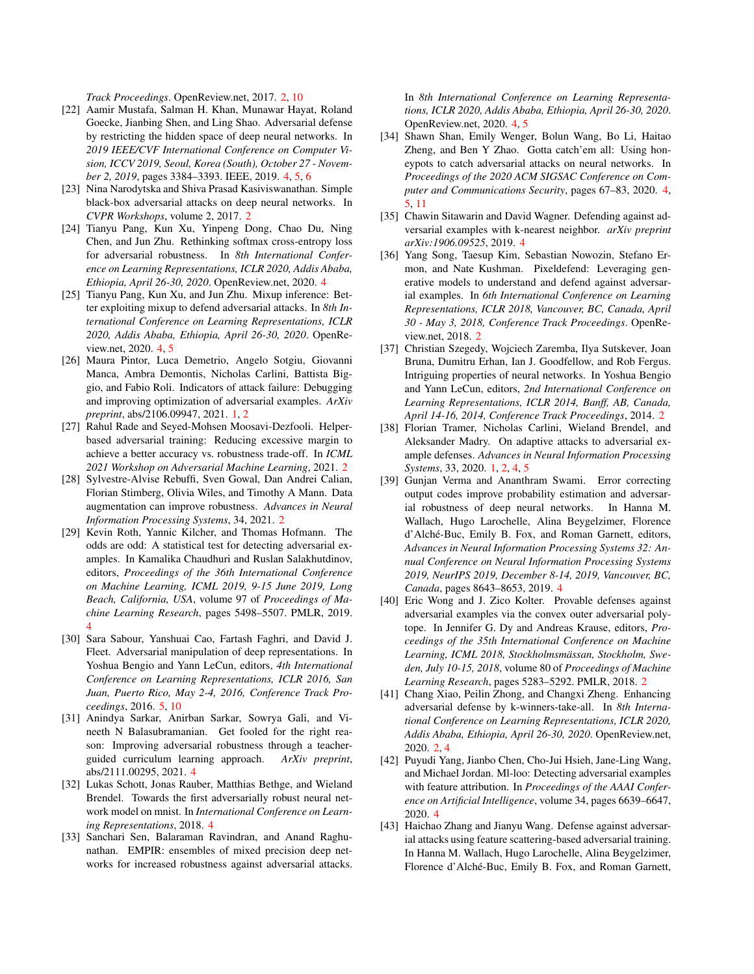*Track Proceedings*. OpenReview.net, 2017. [2,](#page-1-1) [10](#page-9-1)

- <span id="page-7-11"></span>[22] Aamir Mustafa, Salman H. Khan, Munawar Hayat, Roland Goecke, Jianbing Shen, and Ling Shao. Adversarial defense by restricting the hidden space of deep neural networks. In *2019 IEEE/CVF International Conference on Computer Vision, ICCV 2019, Seoul, Korea (South), October 27 - November 2, 2019*, pages 3384–3393. IEEE, 2019. [4,](#page-3-0) [5,](#page-4-2) [6](#page-5-1)
- <span id="page-7-3"></span>[23] Nina Narodytska and Shiva Prasad Kasiviswanathan. Simple black-box adversarial attacks on deep neural networks. In *CVPR Workshops*, volume 2, 2017. [2](#page-1-1)
- <span id="page-7-17"></span>[24] Tianyu Pang, Kun Xu, Yinpeng Dong, Chao Du, Ning Chen, and Jun Zhu. Rethinking softmax cross-entropy loss for adversarial robustness. In *8th International Conference on Learning Representations, ICLR 2020, Addis Ababa, Ethiopia, April 26-30, 2020*. OpenReview.net, 2020. [4](#page-3-0)
- <span id="page-7-12"></span>[25] Tianyu Pang, Kun Xu, and Jun Zhu. Mixup inference: Better exploiting mixup to defend adversarial attacks. In *8th International Conference on Learning Representations, ICLR 2020, Addis Ababa, Ethiopia, April 26-30, 2020*. OpenReview.net, 2020. [4,](#page-3-0) [5](#page-4-2)
- <span id="page-7-1"></span>[26] Maura Pintor, Luca Demetrio, Angelo Sotgiu, Giovanni Manca, Ambra Demontis, Nicholas Carlini, Battista Biggio, and Fabio Roli. Indicators of attack failure: Debugging and improving optimization of adversarial examples. *ArXiv preprint*, abs/2106.09947, 2021. [1,](#page-0-0) [2](#page-1-1)
- <span id="page-7-5"></span>[27] Rahul Rade and Seyed-Mohsen Moosavi-Dezfooli. Helperbased adversarial training: Reducing excessive margin to achieve a better accuracy vs. robustness trade-off. In *ICML 2021 Workshop on Adversarial Machine Learning*, 2021. [2](#page-1-1)
- <span id="page-7-6"></span>[28] Sylvestre-Alvise Rebuffi, Sven Gowal, Dan Andrei Calian, Florian Stimberg, Olivia Wiles, and Timothy A Mann. Data augmentation can improve robustness. *Advances in Neural Information Processing Systems*, 34, 2021. [2](#page-1-1)
- <span id="page-7-18"></span>[29] Kevin Roth, Yannic Kilcher, and Thomas Hofmann. The odds are odd: A statistical test for detecting adversarial examples. In Kamalika Chaudhuri and Ruslan Salakhutdinov, editors, *Proceedings of the 36th International Conference on Machine Learning, ICML 2019, 9-15 June 2019, Long Beach, California, USA*, volume 97 of *Proceedings of Machine Learning Research*, pages 5498–5507. PMLR, 2019. [4](#page-3-0)
- <span id="page-7-21"></span>[30] Sara Sabour, Yanshuai Cao, Fartash Faghri, and David J. Fleet. Adversarial manipulation of deep representations. In Yoshua Bengio and Yann LeCun, editors, *4th International Conference on Learning Representations, ICLR 2016, San Juan, Puerto Rico, May 2-4, 2016, Conference Track Proceedings*, 2016. [5,](#page-4-2) [10](#page-9-1)
- <span id="page-7-13"></span>[31] Anindya Sarkar, Anirban Sarkar, Sowrya Gali, and Vineeth N Balasubramanian. Get fooled for the right reason: Improving adversarial robustness through a teacherguided curriculum learning approach. *ArXiv preprint*, abs/2111.00295, 2021. [4](#page-3-0)
- <span id="page-7-10"></span>[32] Lukas Schott, Jonas Rauber, Matthias Bethge, and Wieland Brendel. Towards the first adversarially robust neural network model on mnist. In *International Conference on Learning Representations*, 2018. [4](#page-3-0)
- <span id="page-7-14"></span>[33] Sanchari Sen, Balaraman Ravindran, and Anand Raghunathan. EMPIR: ensembles of mixed precision deep networks for increased robustness against adversarial attacks.

In *8th International Conference on Learning Representations, ICLR 2020, Addis Ababa, Ethiopia, April 26-30, 2020*. OpenReview.net, 2020. [4,](#page-3-0) [5](#page-4-2)

- <span id="page-7-19"></span>[34] Shawn Shan, Emily Wenger, Bolun Wang, Bo Li, Haitao Zheng, and Ben Y Zhao. Gotta catch'em all: Using honeypots to catch adversarial attacks on neural networks. In *Proceedings of the 2020 ACM SIGSAC Conference on Computer and Communications Security*, pages 67–83, 2020. [4,](#page-3-0) [5,](#page-4-2) [11](#page-10-1)
- <span id="page-7-9"></span>[35] Chawin Sitawarin and David Wagner. Defending against adversarial examples with k-nearest neighbor. *arXiv preprint arXiv:1906.09525*, 2019. [4](#page-3-0)
- <span id="page-7-8"></span>[36] Yang Song, Taesup Kim, Sebastian Nowozin, Stefano Ermon, and Nate Kushman. Pixeldefend: Leveraging generative models to understand and defend against adversarial examples. In *6th International Conference on Learning Representations, ICLR 2018, Vancouver, BC, Canada, April 30 - May 3, 2018, Conference Track Proceedings*. OpenReview.net, 2018. [2](#page-1-1)
- <span id="page-7-2"></span>[37] Christian Szegedy, Wojciech Zaremba, Ilya Sutskever, Joan Bruna, Dumitru Erhan, Ian J. Goodfellow, and Rob Fergus. Intriguing properties of neural networks. In Yoshua Bengio and Yann LeCun, editors, *2nd International Conference on Learning Representations, ICLR 2014, Banff, AB, Canada, April 14-16, 2014, Conference Track Proceedings*, 2014. [2](#page-1-1)
- <span id="page-7-0"></span>[38] Florian Tramer, Nicholas Carlini, Wieland Brendel, and Aleksander Madry. On adaptive attacks to adversarial example defenses. *Advances in Neural Information Processing Systems*, 33, 2020. [1,](#page-0-0) [2,](#page-1-1) [4,](#page-3-0) [5](#page-4-2)
- <span id="page-7-16"></span>[39] Gunjan Verma and Ananthram Swami. Error correcting output codes improve probability estimation and adversarial robustness of deep neural networks. In Hanna M. Wallach, Hugo Larochelle, Alina Beygelzimer, Florence d'Alché-Buc, Emily B. Fox, and Roman Garnett, editors, *Advances in Neural Information Processing Systems 32: Annual Conference on Neural Information Processing Systems 2019, NeurIPS 2019, December 8-14, 2019, Vancouver, BC, Canada*, pages 8643–8653, 2019. [4](#page-3-0)
- <span id="page-7-7"></span>[40] Eric Wong and J. Zico Kolter. Provable defenses against adversarial examples via the convex outer adversarial polytope. In Jennifer G. Dy and Andreas Krause, editors, *Proceedings of the 35th International Conference on Machine Learning, ICML 2018, Stockholmsmassan, Stockholm, Swe- ¨ den, July 10-15, 2018*, volume 80 of *Proceedings of Machine Learning Research*, pages 5283–5292. PMLR, 2018. [2](#page-1-1)
- <span id="page-7-4"></span>[41] Chang Xiao, Peilin Zhong, and Changxi Zheng. Enhancing adversarial defense by k-winners-take-all. In *8th International Conference on Learning Representations, ICLR 2020, Addis Ababa, Ethiopia, April 26-30, 2020*. OpenReview.net, 2020. [2,](#page-1-1) [4](#page-3-0)
- <span id="page-7-20"></span>[42] Puyudi Yang, Jianbo Chen, Cho-Jui Hsieh, Jane-Ling Wang, and Michael Jordan. Ml-loo: Detecting adversarial examples with feature attribution. In *Proceedings of the AAAI Conference on Artificial Intelligence*, volume 34, pages 6639–6647, 2020. [4](#page-3-0)
- <span id="page-7-15"></span>[43] Haichao Zhang and Jianyu Wang. Defense against adversarial attacks using feature scattering-based adversarial training. In Hanna M. Wallach, Hugo Larochelle, Alina Beygelzimer, Florence d'Alché-Buc, Emily B. Fox, and Roman Garnett,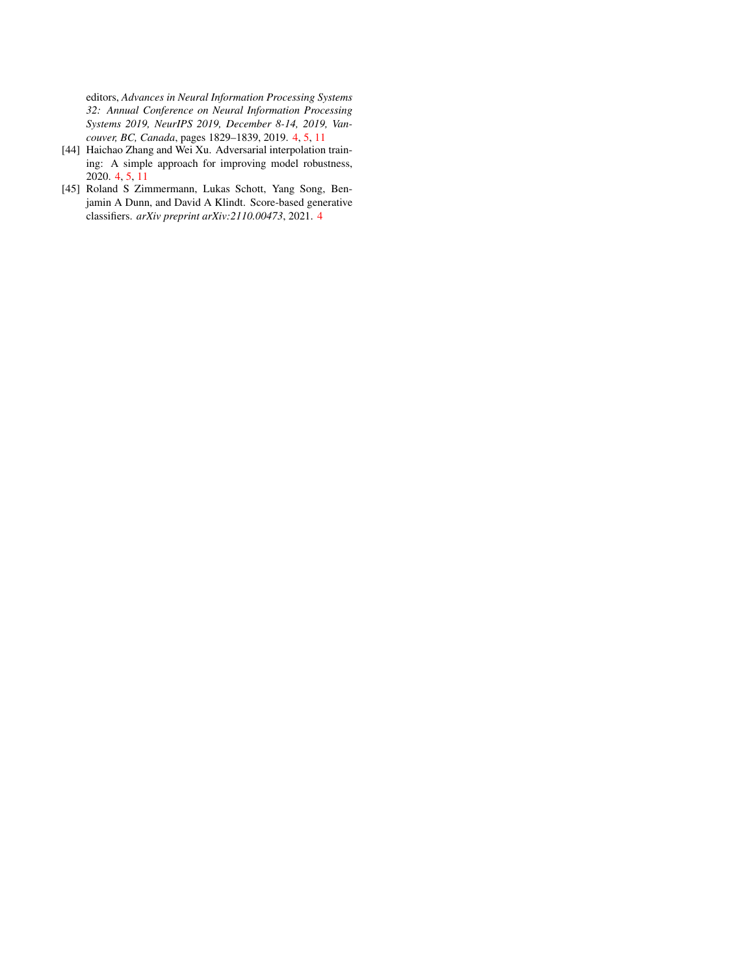editors, *Advances in Neural Information Processing Systems 32: Annual Conference on Neural Information Processing Systems 2019, NeurIPS 2019, December 8-14, 2019, Vancouver, BC, Canada*, pages 1829–1839, 2019. [4,](#page-3-0) [5,](#page-4-2) [11](#page-10-1)

- <span id="page-8-1"></span>[44] Haichao Zhang and Wei Xu. Adversarial interpolation training: A simple approach for improving model robustness, 2020. [4,](#page-3-0) [5,](#page-4-2) [11](#page-10-1)
- <span id="page-8-0"></span>[45] Roland S Zimmermann, Lukas Schott, Yang Song, Benjamin A Dunn, and David A Klindt. Score-based generative classifiers. *arXiv preprint arXiv:2110.00473*, 2021. [4](#page-3-0)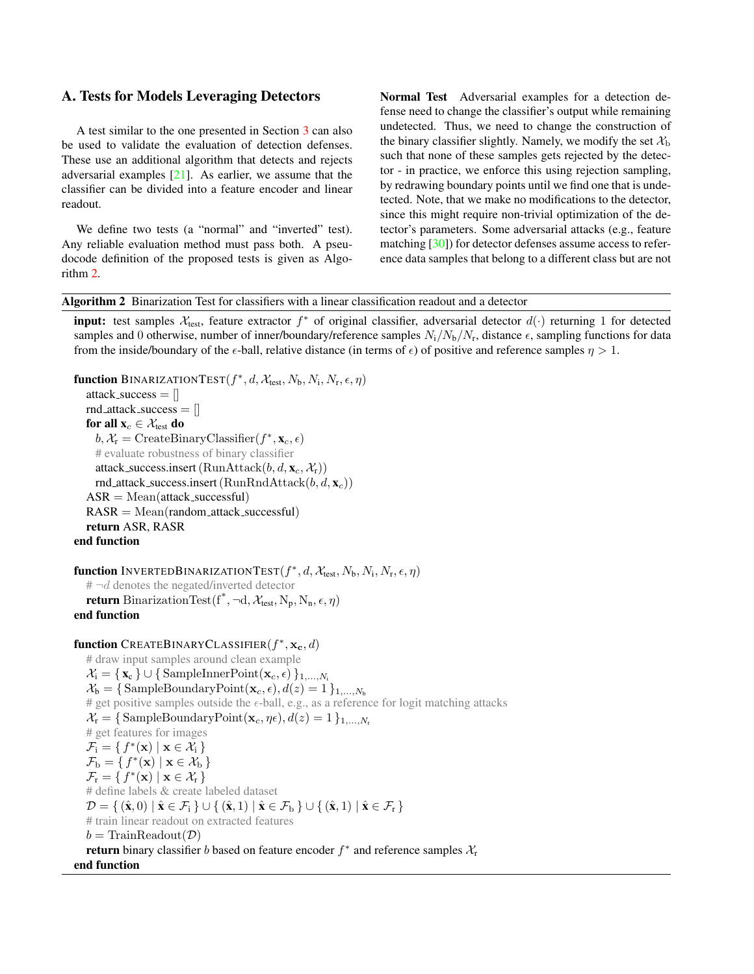### <span id="page-9-1"></span><span id="page-9-0"></span>A. Tests for Models Leveraging Detectors

A test similar to the one presented in Section [3](#page-2-2) can also be used to validate the evaluation of detection defenses. These use an additional algorithm that detects and rejects adversarial examples [\[21\]](#page-6-13). As earlier, we assume that the classifier can be divided into a feature encoder and linear readout.

We define two tests (a "normal" and "inverted" test). Any reliable evaluation method must pass both. A pseudocode definition of the proposed tests is given as Algorithm [2.](#page-9-2)

Normal Test Adversarial examples for a detection defense need to change the classifier's output while remaining undetected. Thus, we need to change the construction of the binary classifier slightly. Namely, we modify the set  $\mathcal{X}_b$ such that none of these samples gets rejected by the detector - in practice, we enforce this using rejection sampling, by redrawing boundary points until we find one that is undetected. Note, that we make no modifications to the detector, since this might require non-trivial optimization of the detector's parameters. Some adversarial attacks (e.g., feature matching [\[30\]](#page-7-21)) for detector defenses assume access to reference data samples that belong to a different class but are not

<span id="page-9-2"></span>

| Algorithm 2 Binarization Test for classifiers with a linear classification readout and a detector |  |  |  |  |  |  |  |  |  |
|---------------------------------------------------------------------------------------------------|--|--|--|--|--|--|--|--|--|
|---------------------------------------------------------------------------------------------------|--|--|--|--|--|--|--|--|--|

**input:** test samples  $X_{test}$ , feature extractor  $f^*$  of original classifier, adversarial detector  $d(\cdot)$  returning 1 for detected samples and 0 otherwise, number of inner/boundary/reference samples  $N_i/N_b/N_r$ , distance  $\epsilon$ , sampling functions for data from the inside/boundary of the  $\epsilon$ -ball, relative distance (in terms of  $\epsilon$ ) of positive and reference samples  $\eta > 1$ .

```
function BINARIZATIONTEST(f^*, d, \mathcal{X}_{\text{test}}, N_{\text{b}}, N_{\text{i}}, N_{\text{r}}, \epsilon, \eta)attack_success = []
   rnd_attack_success = []for all \mathbf{x}_c \in \mathcal{X}_{\text{test}} do
       b, \mathcal{X}_{r} = CreateBinaryClassifier(f^*, \mathbf{x}_c, \epsilon)# evaluate robustness of binary classifier
      attack_success.insert (RunAttack(b, d, \mathbf{x}_c, \mathcal{X}_r))
      rnd_attack_success.insert(RunRndAttack(b, d, \mathbf{x}_c))
    ASR = Mean(atstack_succeed)RASR = Mean(random\_attack\_successful)return ASR, RASR
end function
function InvertedBinarizationTest(f^*, d, \mathcal{X}_{\text{test}}, N_{\text{b}}, N_{\text{i}}, N_{\text{r}}, \epsilon, \eta)# \neg d denotes the negated/inverted detector
    return BinarizationTest(f^*, ¬d, \mathcal{X}_{test}, N_p, N_n, \epsilon, \eta)
end function
function CREATEBINARYCLASSIFIER(f^*, \mathbf{x_c}, d)# draw input samples around clean example
   \mathcal{X}_i = \{ \mathbf{x}_c \} \cup \{ \text{SampleInnerPoint}(\mathbf{x}_c, \epsilon) \}_{1, \ldots, N_i}\mathcal{X}_{\mathbf{b}} = \{\text{SampleBoundaryPoint}(\mathbf{x}_c, \epsilon), d(z) = 1\}_{1,\ldots,N_{\mathbf{b}}}# get positive samples outside the \epsilon-ball, e.g., as a reference for logit matching attacks
   \mathcal{X}_{r} = \{ \text{SampleBoundaryPoint}(\mathbf{x}_{c}, \eta \epsilon), d(z) = 1 \}_{1,...,N_{r}}# get features for images
    \mathcal{F}_i = \{ f^*(\mathbf{x}) \mid \mathbf{x} \in \mathcal{X}_i \}\mathcal{F}_{\mathrm{b}} = \{ f^*(\mathbf{x}) \mid \mathbf{x} \in \mathcal{X}_{\mathrm{b}} \}\mathcal{F}_{r} = \{ f^{*}(\mathbf{x}) \mid \mathbf{x} \in \mathcal{X}_{r} \}
```
 $\mathcal{D} = \{ \, (\hat{\mathbf{x}},0) \mid \hat{\mathbf{x}} \in \mathcal{F}_i \, \} \cup \{ \, (\hat{\mathbf{x}},1) \mid \hat{\mathbf{x}} \in \mathcal{F}_b \, \} \cup \{ \, (\hat{\mathbf{x}},1) \mid \hat{\mathbf{x}} \in \mathcal{F}_r \, \}$ 

**return** binary classifier *b* based on feature encoder  $f^*$  and reference samples  $\mathcal{X}_r$ 

# define labels & create labeled dataset

 $b = \text{TrainReadout}(\mathcal{D})$ 

end function

# train linear readout on extracted features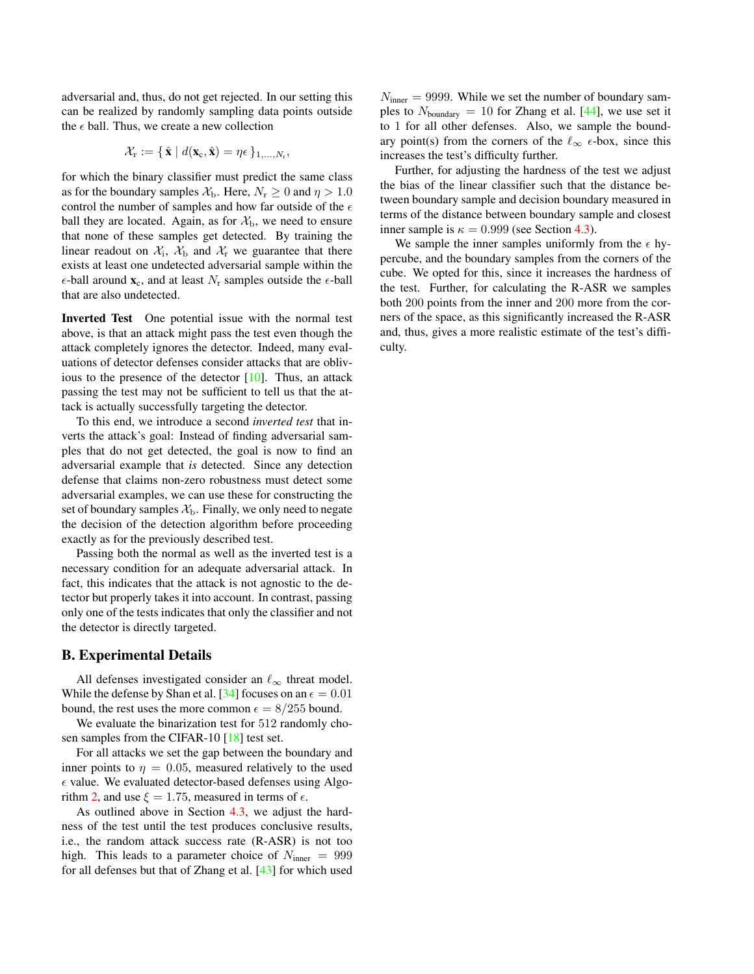<span id="page-10-1"></span>adversarial and, thus, do not get rejected. In our setting this can be realized by randomly sampling data points outside the  $\epsilon$  ball. Thus, we create a new collection

$$
\mathcal{X}_{\mathbf{r}} := \{ \hat{\mathbf{x}} \mid d(\mathbf{x}_{\mathbf{c}}, \hat{\mathbf{x}}) = \eta \epsilon \}_{1, \ldots, N_{\mathbf{r}}},
$$

for which the binary classifier must predict the same class as for the boundary samples  $\mathcal{X}_{\rm b}$ . Here,  $N_{\rm r} \geq 0$  and  $\eta > 1.0$ control the number of samples and how far outside of the  $\epsilon$ ball they are located. Again, as for  $\mathcal{X}_b$ , we need to ensure that none of these samples get detected. By training the linear readout on  $X_i$ ,  $X_b$  and  $X_r$  we guarantee that there exists at least one undetected adversarial sample within the  $\epsilon$ -ball around  $\mathbf{x}_c$ , and at least  $N_r$  samples outside the  $\epsilon$ -ball that are also undetected.

Inverted Test One potential issue with the normal test above, is that an attack might pass the test even though the attack completely ignores the detector. Indeed, many evaluations of detector defenses consider attacks that are oblivious to the presence of the detector [\[10\]](#page-6-19). Thus, an attack passing the test may not be sufficient to tell us that the attack is actually successfully targeting the detector.

To this end, we introduce a second *inverted test* that inverts the attack's goal: Instead of finding adversarial samples that do not get detected, the goal is now to find an adversarial example that *is* detected. Since any detection defense that claims non-zero robustness must detect some adversarial examples, we can use these for constructing the set of boundary samples  $\mathcal{X}_b$ . Finally, we only need to negate the decision of the detection algorithm before proceeding exactly as for the previously described test.

Passing both the normal as well as the inverted test is a necessary condition for an adequate adversarial attack. In fact, this indicates that the attack is not agnostic to the detector but properly takes it into account. In contrast, passing only one of the tests indicates that only the classifier and not the detector is directly targeted.

### <span id="page-10-0"></span>B. Experimental Details

All defenses investigated consider an  $\ell_{\infty}$  threat model. While the defense by Shan et al. [\[34\]](#page-7-19) focuses on an  $\epsilon = 0.01$ bound, the rest uses the more common  $\epsilon = 8/255$  bound.

We evaluate the binarization test for 512 randomly cho-sen samples from the CIFAR-10 [\[18\]](#page-6-20) test set.

For all attacks we set the gap between the boundary and inner points to  $\eta = 0.05$ , measured relatively to the used  $\epsilon$  value. We evaluated detector-based defenses using Algo-rithm [2,](#page-9-2) and use  $\xi = 1.75$ , measured in terms of  $\epsilon$ .

As outlined above in Section [4.3,](#page-4-3) we adjust the hardness of the test until the test produces conclusive results, i.e., the random attack success rate (R-ASR) is not too high. This leads to a parameter choice of  $N_{\text{inner}} = 999$ for all defenses but that of Zhang et al. [\[43\]](#page-7-15) for which used  $N_{\text{inner}} = 9999$ . While we set the number of boundary samples to  $N_{\text{boundary}} = 10$  for Zhang et al. [\[44\]](#page-8-1), we use set it to 1 for all other defenses. Also, we sample the boundary point(s) from the corners of the  $\ell_{\infty}$   $\epsilon$ -box, since this increases the test's difficulty further.

Further, for adjusting the hardness of the test we adjust the bias of the linear classifier such that the distance between boundary sample and decision boundary measured in terms of the distance between boundary sample and closest inner sample is  $\kappa = 0.999$  (see Section [4.3\)](#page-4-3).

We sample the inner samples uniformly from the  $\epsilon$  hypercube, and the boundary samples from the corners of the cube. We opted for this, since it increases the hardness of the test. Further, for calculating the R-ASR we samples both 200 points from the inner and 200 more from the corners of the space, as this significantly increased the R-ASR and, thus, gives a more realistic estimate of the test's difficulty.